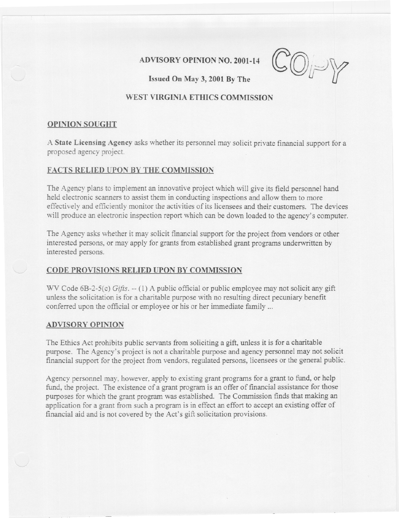## **ADVISORY OPINION NO. 2001-14**

**Issued** On May 3, 2001 By The

# **WEST VIRGINIA ETHICS COMMISSION**

## **OPINION SOUGHT**

A **State Licensing Agency** asks whether its personnel may solicit private financial support for a proposed agency project.

## **FACTS RELIED UPON BY THE COMMISSION**

The Agency plans to implement an innovative project which will give its field personnel hand held electronic scanners to assist them in conducting inspections and allow them to more effectively and efficiently monitor the activities of its licensees and their customers. The devices will produce an electronic inspection report which can be down loaded to the agency's computer.

The Agency asks whether it may solicit financial support for the project from vendors or other interested persons, or may apply for grants from established grant programs underwritten by interested persons.

### **CODE PROVISIONS RELIED UPON BY COMMISSION**

WV Code 6B-2-5(c) *Gifts.* -- (1) A public official or public employee may not solicit any gift unless the solicitation is for a charitable purpose with no resulting direct pecuniary benefit conferred upon the official or employee or his or her immediate family...

#### **ADVISORY OPINION**

The Ethics Act prohibits public servants from soliciting a gift, unless it is for a charitable purpose. The Agency's project is not a charitable purpose and agency personnel may not solicit financial support for the project from vendors, regulated persons, licensees or the general public.

Agency personnel may, however, apply to existing grant programs for a grant to fund, or help fund, the project. The existence of a grant program is an offer of financial assistance for those purposes for which the grant program was established. The Commission finds that making an application for a grant from such a program is in effect an effort to accept an existing offer of financial aid and is not covered by the Act's gift solicitation provisions.